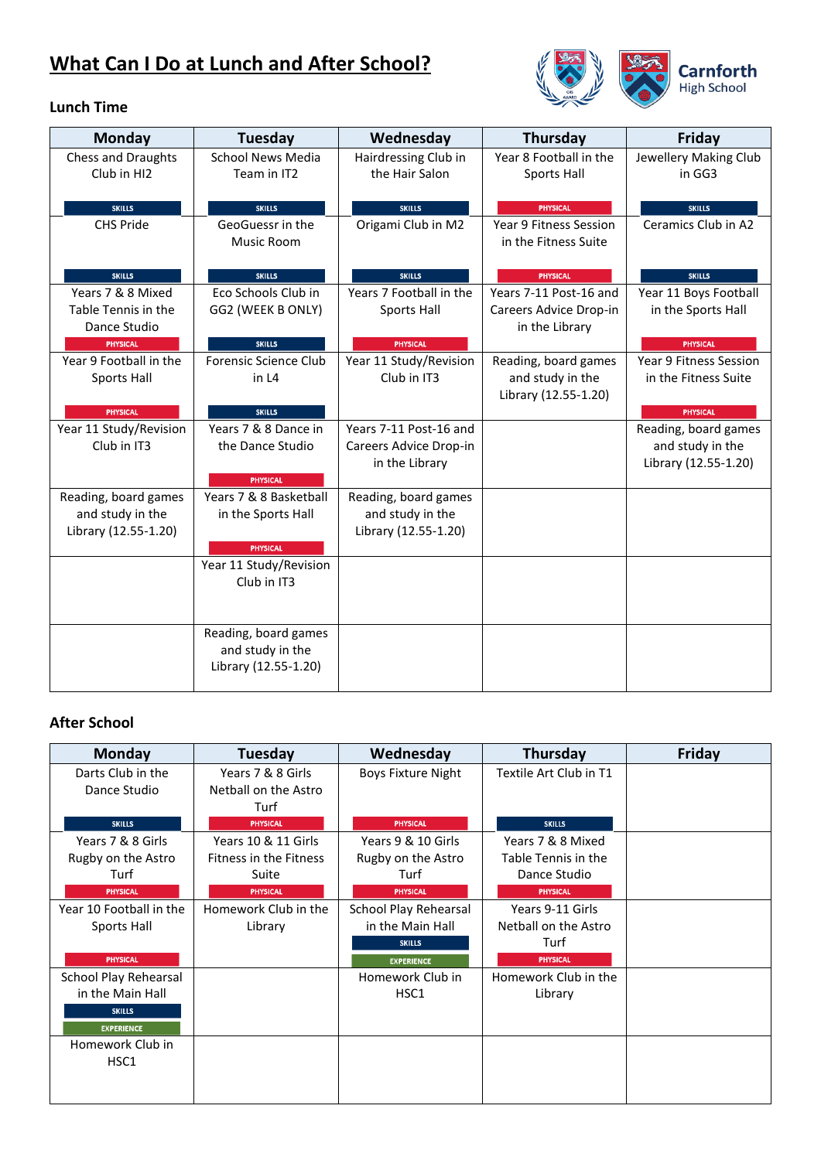## **What Can I Do at Lunch and After School?**



#### **Lunch Time**

| Monday                            | <b>Tuesday</b>                    | Wednesday               | <b>Thursday</b>                           | Friday                               |
|-----------------------------------|-----------------------------------|-------------------------|-------------------------------------------|--------------------------------------|
| Chess and Draughts                | <b>School News Media</b>          | Hairdressing Club in    | Year 8 Football in the                    | Jewellery Making Club                |
| Club in HI2                       | Team in IT2                       | the Hair Salon          | Sports Hall                               | in GG3                               |
|                                   |                                   | <b>SKILLS</b>           |                                           |                                      |
| <b>SKILLS</b><br><b>CHS Pride</b> | <b>SKILLS</b><br>GeoGuessr in the | Origami Club in M2      | <b>PHYSICAL</b><br>Year 9 Fitness Session | <b>SKILLS</b><br>Ceramics Club in A2 |
|                                   | Music Room                        |                         | in the Fitness Suite                      |                                      |
|                                   |                                   |                         |                                           |                                      |
| <b>SKILLS</b>                     | <b>SKILLS</b>                     | <b>SKILLS</b>           | <b>PHYSICAL</b>                           | <b>SKILLS</b>                        |
| Years 7 & 8 Mixed                 | Eco Schools Club in               | Years 7 Football in the | Years 7-11 Post-16 and                    | Year 11 Boys Football                |
| Table Tennis in the               | GG2 (WEEK B ONLY)                 | Sports Hall             | Careers Advice Drop-in                    | in the Sports Hall                   |
| Dance Studio<br><b>PHYSICAL</b>   | <b>SKILLS</b>                     | <b>PHYSICAL</b>         | in the Library                            | <b>PHYSICAL</b>                      |
| Year 9 Football in the            | Forensic Science Club             | Year 11 Study/Revision  | Reading, board games                      | Year 9 Fitness Session               |
| Sports Hall                       | in L4                             | Club in IT3             | and study in the                          | in the Fitness Suite                 |
|                                   |                                   |                         | Library (12.55-1.20)                      |                                      |
| <b>PHYSICAL</b>                   | <b>SKILLS</b>                     |                         |                                           | <b>PHYSICAL</b>                      |
| Year 11 Study/Revision            | Years 7 & 8 Dance in              | Years 7-11 Post-16 and  |                                           | Reading, board games                 |
| Club in IT3                       | the Dance Studio                  | Careers Advice Drop-in  |                                           | and study in the                     |
|                                   | <b>PHYSICAL</b>                   | in the Library          |                                           | Library (12.55-1.20)                 |
| Reading, board games              | Years 7 & 8 Basketball            | Reading, board games    |                                           |                                      |
| and study in the                  | in the Sports Hall                | and study in the        |                                           |                                      |
| Library (12.55-1.20)              |                                   | Library (12.55-1.20)    |                                           |                                      |
|                                   | <b>PHYSICAL</b>                   |                         |                                           |                                      |
|                                   | Year 11 Study/Revision            |                         |                                           |                                      |
|                                   | Club in IT3                       |                         |                                           |                                      |
|                                   |                                   |                         |                                           |                                      |
|                                   | Reading, board games              |                         |                                           |                                      |
|                                   | and study in the                  |                         |                                           |                                      |
|                                   | Library (12.55-1.20)              |                         |                                           |                                      |
|                                   |                                   |                         |                                           |                                      |

#### **After School**

| <b>Monday</b>           | Tuesday                       | Wednesday                 | <b>Thursday</b>        | Friday |
|-------------------------|-------------------------------|---------------------------|------------------------|--------|
| Darts Club in the       | Years 7 & 8 Girls             | <b>Boys Fixture Night</b> | Textile Art Club in T1 |        |
| Dance Studio            | Netball on the Astro          |                           |                        |        |
|                         | Turf                          |                           |                        |        |
| <b>SKILLS</b>           | <b>PHYSICAL</b>               | <b>PHYSICAL</b>           | <b>SKILLS</b>          |        |
| Years 7 & 8 Girls       | Years 10 & 11 Girls           | Years 9 & 10 Girls        | Years 7 & 8 Mixed      |        |
| Rugby on the Astro      | <b>Fitness in the Fitness</b> | Rugby on the Astro        | Table Tennis in the    |        |
| Turf                    | Suite                         | Turf                      | Dance Studio           |        |
| <b>PHYSICAL</b>         | <b>PHYSICAL</b>               | <b>PHYSICAL</b>           | <b>PHYSICAL</b>        |        |
| Year 10 Football in the | Homework Club in the          | School Play Rehearsal     | Years 9-11 Girls       |        |
| Sports Hall             | Library                       | in the Main Hall          | Netball on the Astro   |        |
|                         |                               | <b>SKILLS</b>             | Turf                   |        |
| <b>PHYSICAL</b>         |                               | <b>EXPERIENCE</b>         | <b>PHYSICAL</b>        |        |
| School Play Rehearsal   |                               | Homework Club in          | Homework Club in the   |        |
| in the Main Hall        |                               | HSC1                      | Library                |        |
| <b>SKILLS</b>           |                               |                           |                        |        |
| <b>EXPERIENCE</b>       |                               |                           |                        |        |
| Homework Club in        |                               |                           |                        |        |
| HSC <sub>1</sub>        |                               |                           |                        |        |
|                         |                               |                           |                        |        |
|                         |                               |                           |                        |        |